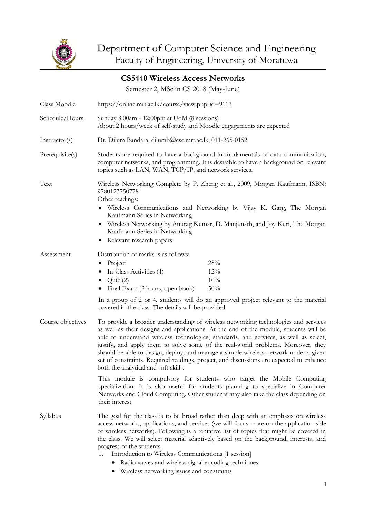

|                   | <b>CS5440 Wireless Access Networks</b>                                                                                                                                                                                                                                                                                                                                                                                                                                                                                                                                                                                                      |                                                                                                                 |
|-------------------|---------------------------------------------------------------------------------------------------------------------------------------------------------------------------------------------------------------------------------------------------------------------------------------------------------------------------------------------------------------------------------------------------------------------------------------------------------------------------------------------------------------------------------------------------------------------------------------------------------------------------------------------|-----------------------------------------------------------------------------------------------------------------|
|                   | Semester 2, MSc in CS 2018 (May-June)                                                                                                                                                                                                                                                                                                                                                                                                                                                                                                                                                                                                       |                                                                                                                 |
| Class Moodle      | https://online.mrt.ac.lk/course/view.php?id=9113                                                                                                                                                                                                                                                                                                                                                                                                                                                                                                                                                                                            |                                                                                                                 |
| Schedule/Hours    | Sunday 8:00am - 12:00pm at UoM (8 sessions)<br>About 2 hours/week of self-study and Moodle engagements are expected                                                                                                                                                                                                                                                                                                                                                                                                                                                                                                                         |                                                                                                                 |
| Instructor(s)     | Dr. Dilum Bandara, dilumb@cse.mrt.ac.lk, 011-265-0152                                                                                                                                                                                                                                                                                                                                                                                                                                                                                                                                                                                       |                                                                                                                 |
| Prerequisite(s)   | Students are required to have a background in fundamentals of data communication,<br>computer networks, and programming. It is desirable to have a background on relevant<br>topics such as LAN, WAN, TCP/IP, and network services.                                                                                                                                                                                                                                                                                                                                                                                                         |                                                                                                                 |
| Text              | Wireless Networking Complete by P. Zheng et al., 2009, Morgan Kaufmann, ISBN:<br>9780123750778<br>Other readings:<br>• Wireless Communications and Networking by Vijay K. Garg, The Morgan<br>Kaufmann Series in Networking<br>• Wireless Networking by Anurag Kumar, D. Manjunath, and Joy Kuri, The Morgan<br>Kaufmann Series in Networking<br>• Relevant research papers                                                                                                                                                                                                                                                                 |                                                                                                                 |
| Assessment        | Distribution of marks is as follows:<br>$\bullet$ Project<br>In-Class Activities (4)<br>• $Quiz(2)$<br>Final Exam (2 hours, open book)<br>٠                                                                                                                                                                                                                                                                                                                                                                                                                                                                                                 | 28%<br>12%<br>10%<br>50%<br>In a group of 2 or 4, students will do an approved project relevant to the material |
| Course objectives | covered in the class. The details will be provided.<br>To provide a broader understanding of wireless networking technologies and services<br>as well as their designs and applications. At the end of the module, students will be<br>able to understand wireless technologies, standards, and services, as well as select,<br>justify, and apply them to solve some of the real-world problems. Moreover, they<br>should be able to design, deploy, and manage a simple wireless network under a given<br>set of constraints. Required readings, project, and discussions are expected to enhance<br>both the analytical and soft skills. |                                                                                                                 |
|                   | This module is compulsory for students who target the Mobile Computing<br>specialization. It is also useful for students planning to specialize in Computer<br>Networks and Cloud Computing. Other students may also take the class depending on<br>their interest.                                                                                                                                                                                                                                                                                                                                                                         |                                                                                                                 |
| Syllabus          | The goal for the class is to be broad rather than deep with an emphasis on wireless<br>access networks, applications, and services (we will focus more on the application side<br>of wireless networks). Following is a tentative list of topics that might be covered in<br>the class. We will select material adaptively based on the background, interests, and<br>progress of the students.<br>Introduction to Wireless Communications [1 session]<br>1.<br>• Radio waves and wireless signal encoding techniques                                                                                                                       |                                                                                                                 |

• Wireless networking issues and constraints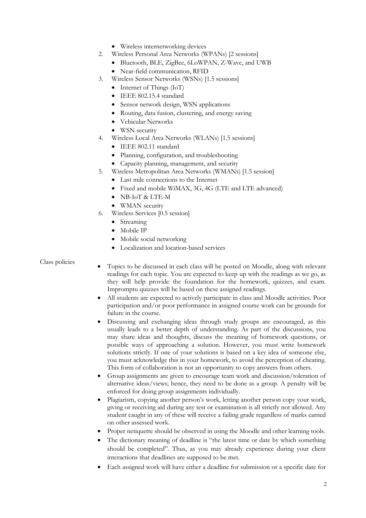- Wireless internetworking devices
- 2. Wireless Personal Area Networks (WPANs) [2 sessions]
	- Bluetooth, BLE, ZigBee, 6LoWPAN, Z-Wave, and UWB
		- Near-field communication, RFID
- 3. Wireless Sensor Networks (WSNs) [1.5 sessions]
	- Internet of Things (IoT)
	- IEEE 802.15.4 standard
	- Sensor network design, WSN applications
	- Routing, data fusion, clustering, and energy saving
	- Vehicular Networks
	- WSN security
- 4. Wireless Local Area Networks (WLANs) [1.5 sessions]
	- IEEE 802.11 standard
	- Planning, configuration, and troubleshooting
	- Capacity planning, management, and security
- 5. Wireless Metropolitan Area Networks (WMANs) [1.5 session]
	- Last mile connections to the Internet
	- Fixed and mobile WiMAX, 3G, 4G (LTE and LTE advanced)
	- NB-IoT & LTE-M
	- WMAN security
- 6. Wireless Services [0.5 session]
	- Streaming
	- Mobile IP
	- Mobile social networking
	- Localization and location-based services

## Class policies

- Topics to be discussed in each class will be posted on Moodle, along with relevant readings for each topic. You are expected to keep up with the readings as we go, as they will help provide the foundation for the homework, quizzes, and exam. Impromptu quizzes will be based on these assigned readings.
- All students are expected to actively participate in class and Moodle activities. Poor participation and/or poor performance in assigned course work can be grounds for failure in the course.
- Discussing and exchanging ideas through study groups are encouraged, as this usually leads to a better depth of understanding. As part of the discussions, you may share ideas and thoughts, discuss the meaning of homework questions, or possible ways of approaching a solution. However, you must write homework solutions strictly. If one of your solutions is based on a key idea of someone else, you must acknowledge this in your homework, to avoid the perception of cheating. This form of collaboration is not an opportunity to copy answers from others.
- Group assignments are given to encourage team work and discussion/toleration of alternative ideas/views; hence, they need to be done as a group. A penalty will be enforced for doing group assignments individually.
- Plagiarism, copying another person's work, letting another person copy your work, giving or receiving aid during any test or examination is all strictly not allowed. Any student caught in any of these will receive a failing grade regardless of marks earned on other assessed work.
- Proper netiquette should be observed in using the Moodle and other learning tools.
- The dictionary meaning of deadline is "the latest time or date by which something should be completed". Thus, as you may already experience during your client interactions that deadlines are supposed to be met.
- Each assigned work will have either a deadline for submission or a specific date for